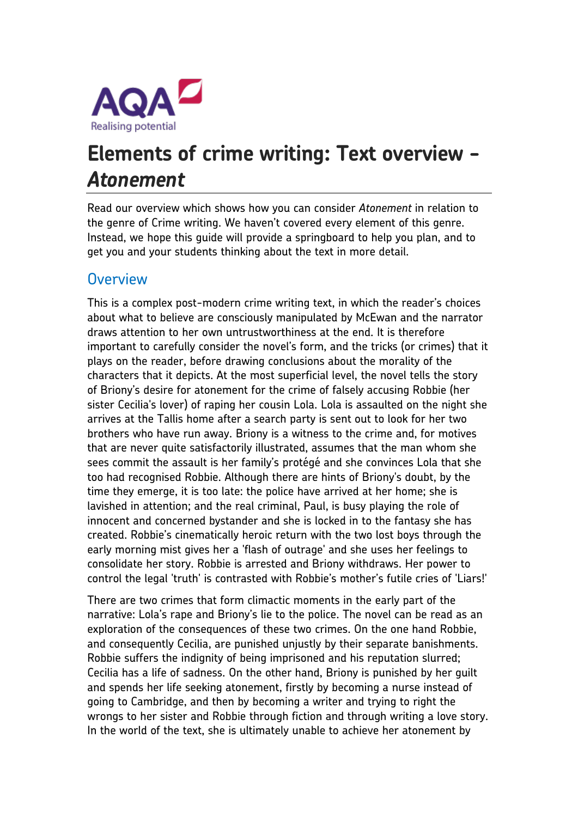

# **Elements of crime writing: Text overview -** *Atonement*

Read our overview which shows how you can consider *Atonement* in relation to the genre of Crime writing. We haven't covered every element of this genre. Instead, we hope this guide will provide a springboard to help you plan, and to get you and your students thinking about the text in more detail.

#### **Overview**

This is a complex post-modern crime writing text, in which the reader's choices about what to believe are consciously manipulated by McEwan and the narrator draws attention to her own untrustworthiness at the end. It is therefore important to carefully consider the novel's form, and the tricks (or crimes) that it plays on the reader, before drawing conclusions about the morality of the characters that it depicts. At the most superficial level, the novel tells the story of Briony's desire for atonement for the crime of falsely accusing Robbie (her sister Cecilia's lover) of raping her cousin Lola. Lola is assaulted on the night she arrives at the Tallis home after a search party is sent out to look for her two brothers who have run away. Briony is a witness to the crime and, for motives that are never quite satisfactorily illustrated, assumes that the man whom she sees commit the assault is her family's protégé and she convinces Lola that she too had recognised Robbie. Although there are hints of Briony's doubt, by the time they emerge, it is too late: the police have arrived at her home; she is lavished in attention; and the real criminal, Paul, is busy playing the role of innocent and concerned bystander and she is locked in to the fantasy she has created. Robbie's cinematically heroic return with the two lost boys through the early morning mist gives her a 'flash of outrage' and she uses her feelings to consolidate her story. Robbie is arrested and Briony withdraws. Her power to control the legal 'truth' is contrasted with Robbie's mother's futile cries of 'Liars!'

There are two crimes that form climactic moments in the early part of the narrative: Lola's rape and Briony's lie to the police. The novel can be read as an exploration of the consequences of these two crimes. On the one hand Robbie, and consequently Cecilia, are punished unjustly by their separate banishments. Robbie suffers the indignity of being imprisoned and his reputation slurred; Cecilia has a life of sadness. On the other hand, Briony is punished by her guilt and spends her life seeking atonement, firstly by becoming a nurse instead of going to Cambridge, and then by becoming a writer and trying to right the wrongs to her sister and Robbie through fiction and through writing a love story. In the world of the text, she is ultimately unable to achieve her atonement by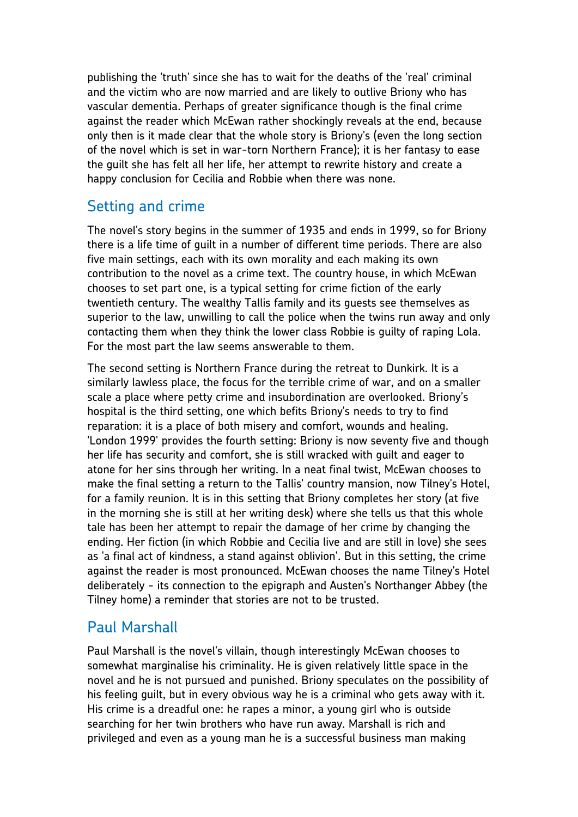publishing the 'truth' since she has to wait for the deaths of the 'real' criminal and the victim who are now married and are likely to outlive Briony who has vascular dementia. Perhaps of greater significance though is the final crime against the reader which McEwan rather shockingly reveals at the end, because only then is it made clear that the whole story is Briony's (even the long section of the novel which is set in war-torn Northern France); it is her fantasy to ease the guilt she has felt all her life, her attempt to rewrite history and create a happy conclusion for Cecilia and Robbie when there was none.

#### Setting and crime

The novel's story begins in the summer of 1935 and ends in 1999, so for Briony there is a life time of guilt in a number of different time periods. There are also five main settings, each with its own morality and each making its own contribution to the novel as a crime text. The country house, in which McEwan chooses to set part one, is a typical setting for crime fiction of the early twentieth century. The wealthy Tallis family and its guests see themselves as superior to the law, unwilling to call the police when the twins run away and only contacting them when they think the lower class Robbie is guilty of raping Lola. For the most part the law seems answerable to them.

The second setting is Northern France during the retreat to Dunkirk. It is a similarly lawless place, the focus for the terrible crime of war, and on a smaller scale a place where petty crime and insubordination are overlooked. Briony's hospital is the third setting, one which befits Briony's needs to try to find reparation: it is a place of both misery and comfort, wounds and healing. 'London 1999' provides the fourth setting: Briony is now seventy five and though her life has security and comfort, she is still wracked with guilt and eager to atone for her sins through her writing. In a neat final twist, McEwan chooses to make the final setting a return to the Tallis' country mansion, now Tilney's Hotel, for a family reunion. It is in this setting that Briony completes her story (at five in the morning she is still at her writing desk) where she tells us that this whole tale has been her attempt to repair the damage of her crime by changing the ending. Her fiction (in which Robbie and Cecilia live and are still in love) she sees as 'a final act of kindness, a stand against oblivion'. But in this setting, the crime against the reader is most pronounced. McEwan chooses the name Tilney's Hotel deliberately - its connection to the epigraph and Austen's Northanger Abbey (the Tilney home) a reminder that stories are not to be trusted.

#### Paul Marshall

Paul Marshall is the novel's villain, though interestingly McEwan chooses to somewhat marginalise his criminality. He is given relatively little space in the novel and he is not pursued and punished. Briony speculates on the possibility of his feeling guilt, but in every obvious way he is a criminal who gets away with it. His crime is a dreadful one: he rapes a minor, a young girl who is outside searching for her twin brothers who have run away. Marshall is rich and privileged and even as a young man he is a successful business man making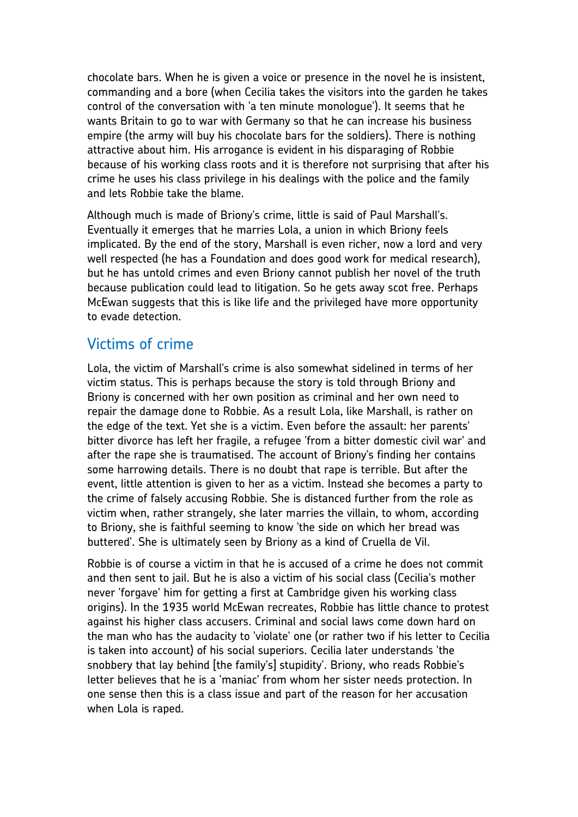chocolate bars. When he is given a voice or presence in the novel he is insistent, commanding and a bore (when Cecilia takes the visitors into the garden he takes control of the conversation with 'a ten minute monologue'). It seems that he wants Britain to go to war with Germany so that he can increase his business empire (the army will buy his chocolate bars for the soldiers). There is nothing attractive about him. His arrogance is evident in his disparaging of Robbie because of his working class roots and it is therefore not surprising that after his crime he uses his class privilege in his dealings with the police and the family and lets Robbie take the blame.

Although much is made of Briony's crime, little is said of Paul Marshall's. Eventually it emerges that he marries Lola, a union in which Briony feels implicated. By the end of the story, Marshall is even richer, now a lord and very well respected (he has a Foundation and does good work for medical research), but he has untold crimes and even Briony cannot publish her novel of the truth because publication could lead to litigation. So he gets away scot free. Perhaps McEwan suggests that this is like life and the privileged have more opportunity to evade detection.

#### Victims of crime

Lola, the victim of Marshall's crime is also somewhat sidelined in terms of her victim status. This is perhaps because the story is told through Briony and Briony is concerned with her own position as criminal and her own need to repair the damage done to Robbie. As a result Lola, like Marshall, is rather on the edge of the text. Yet she is a victim. Even before the assault: her parents' bitter divorce has left her fragile, a refugee 'from a bitter domestic civil war' and after the rape she is traumatised. The account of Briony's finding her contains some harrowing details. There is no doubt that rape is terrible. But after the event, little attention is given to her as a victim. Instead she becomes a party to the crime of falsely accusing Robbie. She is distanced further from the role as victim when, rather strangely, she later marries the villain, to whom, according to Briony, she is faithful seeming to know 'the side on which her bread was buttered'. She is ultimately seen by Briony as a kind of Cruella de Vil.

Robbie is of course a victim in that he is accused of a crime he does not commit and then sent to jail. But he is also a victim of his social class (Cecilia's mother never 'forgave' him for getting a first at Cambridge given his working class origins). In the 1935 world McEwan recreates, Robbie has little chance to protest against his higher class accusers. Criminal and social laws come down hard on the man who has the audacity to 'violate' one (or rather two if his letter to Cecilia is taken into account) of his social superiors. Cecilia later understands 'the snobbery that lay behind [the family's] stupidity'. Briony, who reads Robbie's letter believes that he is a 'maniac' from whom her sister needs protection. In one sense then this is a class issue and part of the reason for her accusation when Lola is raped.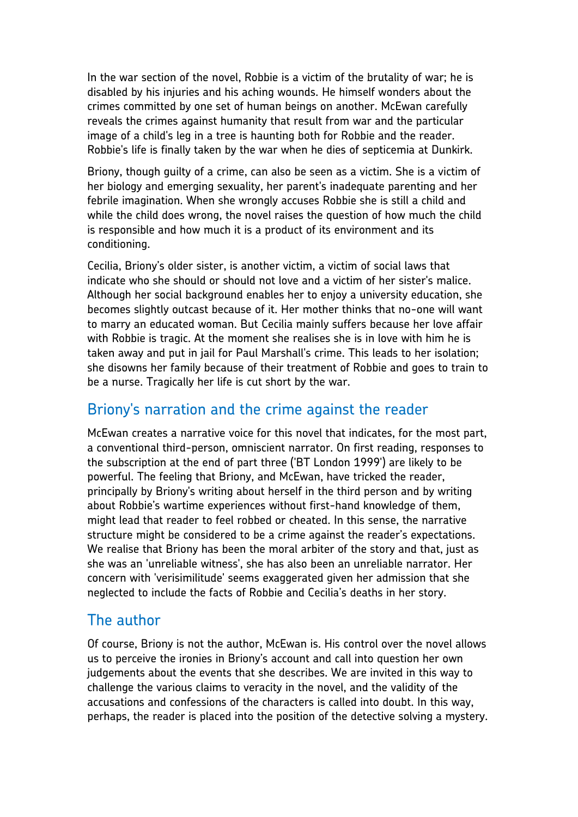In the war section of the novel, Robbie is a victim of the brutality of war; he is disabled by his injuries and his aching wounds. He himself wonders about the crimes committed by one set of human beings on another. McEwan carefully reveals the crimes against humanity that result from war and the particular image of a child's leg in a tree is haunting both for Robbie and the reader. Robbie's life is finally taken by the war when he dies of septicemia at Dunkirk.

Briony, though guilty of a crime, can also be seen as a victim. She is a victim of her biology and emerging sexuality, her parent's inadequate parenting and her febrile imagination. When she wrongly accuses Robbie she is still a child and while the child does wrong, the novel raises the question of how much the child is responsible and how much it is a product of its environment and its conditioning.

Cecilia, Briony's older sister, is another victim, a victim of social laws that indicate who she should or should not love and a victim of her sister's malice. Although her social background enables her to enjoy a university education, she becomes slightly outcast because of it. Her mother thinks that no-one will want to marry an educated woman. But Cecilia mainly suffers because her love affair with Robbie is tragic. At the moment she realises she is in love with him he is taken away and put in jail for Paul Marshall's crime. This leads to her isolation; she disowns her family because of their treatment of Robbie and goes to train to be a nurse. Tragically her life is cut short by the war.

#### Briony's narration and the crime against the reader

McEwan creates a narrative voice for this novel that indicates, for the most part, a conventional third-person, omniscient narrator. On first reading, responses to the subscription at the end of part three ('BT London 1999') are likely to be powerful. The feeling that Briony, and McEwan, have tricked the reader, principally by Briony's writing about herself in the third person and by writing about Robbie's wartime experiences without first-hand knowledge of them, might lead that reader to feel robbed or cheated. In this sense, the narrative structure might be considered to be a crime against the reader's expectations. We realise that Briony has been the moral arbiter of the story and that, just as she was an 'unreliable witness', she has also been an unreliable narrator. Her concern with 'verisimilitude' seems exaggerated given her admission that she neglected to include the facts of Robbie and Cecilia's deaths in her story.

## The author

Of course, Briony is not the author, McEwan is. His control over the novel allows us to perceive the ironies in Briony's account and call into question her own judgements about the events that she describes. We are invited in this way to challenge the various claims to veracity in the novel, and the validity of the accusations and confessions of the characters is called into doubt. In this way, perhaps, the reader is placed into the position of the detective solving a mystery.